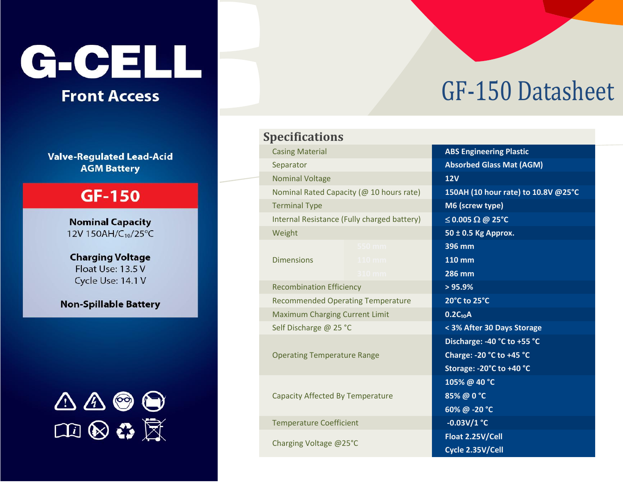# G-CELL

#### **Front Access**

**Valve-Regulated Lead-Acid AGM Battery** 

#### **GF-150**

**Nominal Capacity** 12V 150AH/C<sub>10</sub>/25°C

**Charging Voltage** Float Use: 13.5 V Cycle Use: 14.1 V

**Non-Spillable Battery** 



### **Specifications Casing Material** Separator **Nominal Voltage** Nominal Rated Capacity (@ 10 hours rate) **Terminal Type** Internal Resistance (Fully charged battery) Weight **Dimensions Recombination Efficiency Recommended Operating Temperature Maximum Charging Current Limit** Self Discharge @ 25 °C **Operating Temperature Range Capacity Affected By Temperature Temperature Coefficient** Charging Voltage @25°C

## **GF-150 Datasheet**

| <b>ABS Engineering Plastic</b>      |
|-------------------------------------|
| <b>Absorbed Glass Mat (AGM)</b>     |
| $\overline{12V}$                    |
| 150AH (10 hour rate) to 10.8V @25°C |
| M6 (screw type)                     |
| $\leq$ 0.005 $\Omega$ @ 25 °C       |
| 50 ± 0.5 Kg Approx.                 |
| 396 mm                              |
| <b>110 mm</b>                       |
| <b>286 mm</b>                       |
| > 95.9%                             |
| 20°C to 25°C                        |
| $0.2C_{10}A$                        |
| < 3% After 30 Days Storage          |
| Discharge: -40 °C to +55 °C         |
| Charge: -20 °C to +45 °C            |
| Storage: - 20°C to +40 °C           |
| 105% @ 40 °C                        |
| 85%@0°C                             |
| 60%@-20 °C                          |
| $-0.03V/1$ °C                       |
| Float 2.25V/Cell                    |
| Cycle 2.35V/Cell                    |